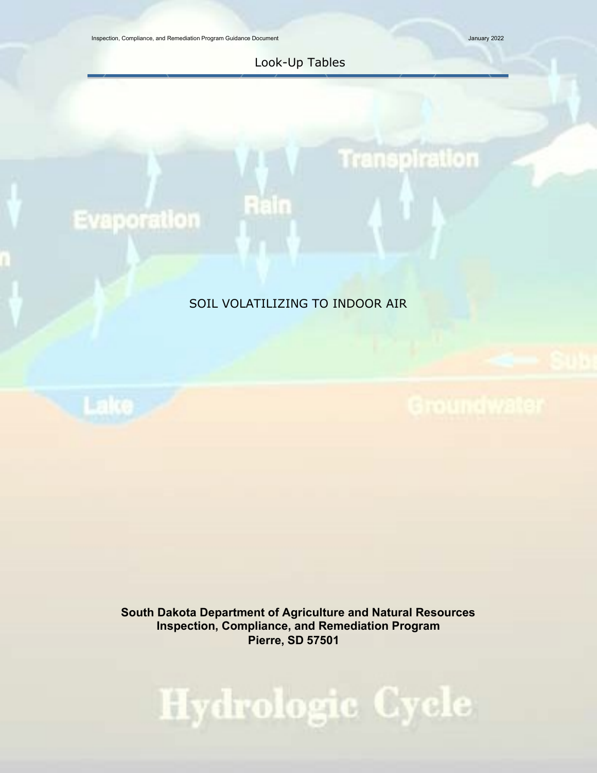Inspection, Compliance, and Remediation Program Guidance Document January 2022

#### Look-Up Tables

# Transpiration

## **Evaporation**

### SOIL VOLATILIZING TO INDOOR AIR

Rain

**South Dakota Department of Agriculture and Natural Resources Inspection, Compliance, and Remediation Program Pierre, SD 57501**

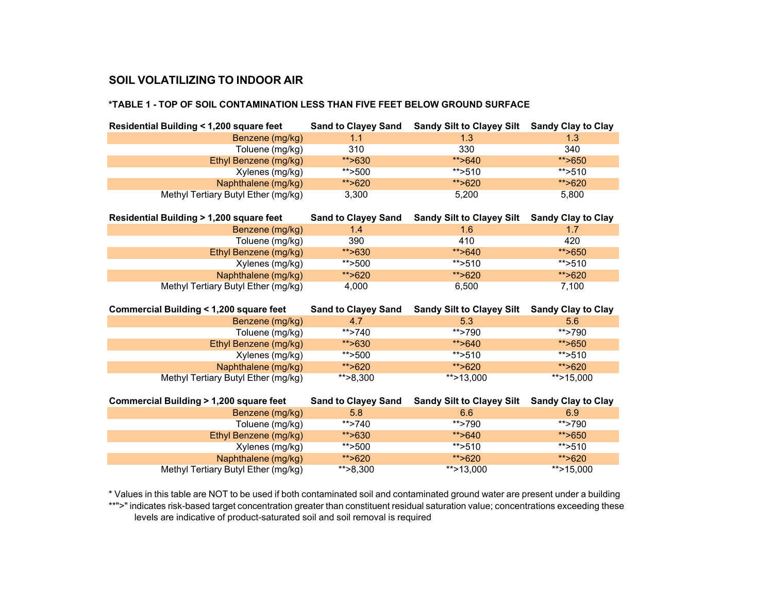#### **\*TABLE 1 - TOP OF SOIL CONTAMINATION LESS THAN FIVE FEET BELOW GROUND SURFACE**

| Residential Building < 1,200 square feet                   |                            | Sand to Clayey Sand Sandy Silt to Clayey Silt Sandy Clay to Clay |                           |
|------------------------------------------------------------|----------------------------|------------------------------------------------------------------|---------------------------|
| Benzene (mg/kg)                                            | 1.1                        | 1.3                                                              | 1.3                       |
| Toluene (mg/kg)                                            | 310                        | 330                                                              | 340                       |
| Ethyl Benzene (mg/kg)                                      | **>630                     | **>640                                                           | **>650                    |
| Xylenes (mg/kg)                                            | ** $>500$                  | ** $>510$                                                        | ** $>510$                 |
| Naphthalene (mg/kg)                                        | **>620                     | ** $>620$                                                        | **>620                    |
| Methyl Tertiary Butyl Ether (mg/kg)                        | 3,300                      | 5,200                                                            | 5,800                     |
| Residential Building > 1,200 square feet                   | <b>Sand to Clayey Sand</b> | <b>Sandy Silt to Clayey Silt</b>                                 | <b>Sandy Clay to Clay</b> |
| Benzene (mg/kg)                                            | 1.4                        | 1.6                                                              | 1.7                       |
| Toluene (mg/kg)                                            | 390                        | 410                                                              | 420                       |
| Ethyl Benzene (mg/kg)                                      | **>630                     | ** $>640$                                                        | **>650                    |
| Xylenes (mg/kg)                                            | ** $>500$                  | ** $>510$                                                        | ** $>510$                 |
| Naphthalene (mg/kg)                                        | **>620                     | **>620                                                           | **>620                    |
| Methyl Tertiary Butyl Ether (mg/kg)                        | 4,000                      | 6,500                                                            | 7,100                     |
|                                                            |                            |                                                                  |                           |
|                                                            |                            |                                                                  |                           |
| <b>Commercial Building &lt; 1,200 square feet</b>          | <b>Sand to Clayey Sand</b> | Sandy Silt to Clayey Silt Sandy Clay to Clay                     |                           |
| Benzene (mg/kg)                                            | 4.7                        | 5.3                                                              | 5.6                       |
| Toluene (mg/kg)                                            | $**$ >740                  | $**$ >790                                                        | **>790                    |
| Ethyl Benzene (mg/kg)                                      | **>630                     | **>640                                                           | **>650                    |
| Xylenes (mg/kg)                                            | **>500                     | $**$ >510                                                        | $*$ >510                  |
| Naphthalene (mg/kg)                                        | **>620                     | **>620                                                           | **>620                    |
| Methyl Tertiary Butyl Ether (mg/kg)                        | ** $>8,300$                | ** $>13,000$                                                     | **>15,000                 |
|                                                            |                            |                                                                  |                           |
| Commercial Building > 1,200 square feet                    | <b>Sand to Clayey Sand</b> | <b>Sandy Silt to Clayey Silt</b>                                 | <b>Sandy Clay to Clay</b> |
| Benzene (mg/kg)                                            | 5.8                        | 6.6                                                              | 6.9                       |
| Toluene (mg/kg)                                            | $**$ >740                  | **>790                                                           | **>790                    |
| Ethyl Benzene (mg/kg)                                      | **>630                     | **>640                                                           | **>650                    |
| Xylenes (mg/kg)                                            | ** > 500                   | **>510                                                           | ** $>510$                 |
| Naphthalene (mg/kg)<br>Methyl Tertiary Butyl Ether (mg/kg) | **>620<br>$*$ > 8,300      | **>620<br>**>13,000                                              | **>620<br>**>15,000       |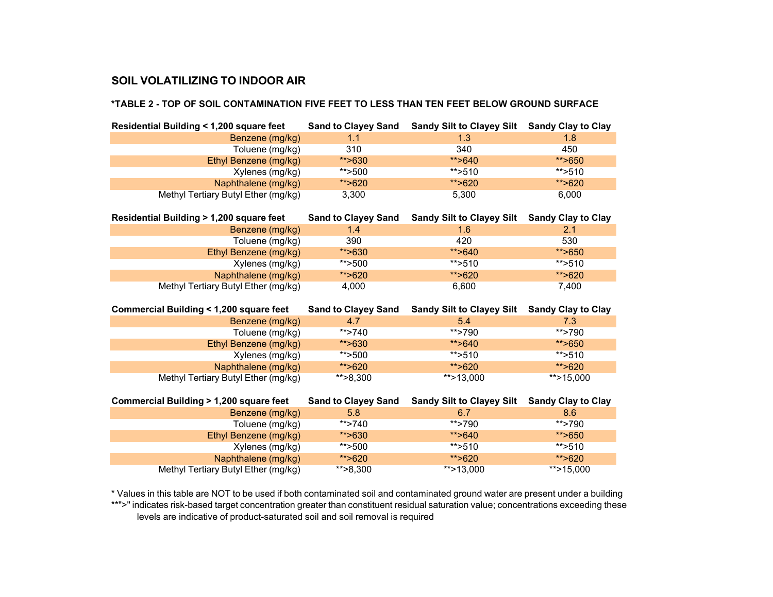#### **\*TABLE 2 - TOP OF SOIL CONTAMINATION FIVE FEET TO LESS THAN TEN FEET BELOW GROUND SURFACE**

| Residential Building < 1,200 square feet                   |                            | Sand to Clayey Sand Sandy Silt to Clayey Silt Sandy Clay to Clay |                           |
|------------------------------------------------------------|----------------------------|------------------------------------------------------------------|---------------------------|
| Benzene (mg/kg)                                            | 1.1                        | 1.3                                                              | 1.8                       |
| Toluene (mg/kg)                                            | 310                        | 340                                                              | 450                       |
| Ethyl Benzene (mg/kg)                                      | **>630                     | **>640                                                           | **>650                    |
| Xylenes (mg/kg)                                            | **>500                     | ** $>510$                                                        | ** $>510$                 |
| Naphthalene (mg/kg)                                        | **>620                     | **>620                                                           | **>620                    |
| Methyl Tertiary Butyl Ether (mg/kg)                        | 3,300                      | 5,300                                                            | 6,000                     |
| Residential Building > 1,200 square feet                   | <b>Sand to Clayey Sand</b> | <b>Sandy Silt to Clayey Silt</b>                                 | <b>Sandy Clay to Clay</b> |
| Benzene (mg/kg)                                            | 1.4                        | 1.6                                                              | 2.1                       |
| Toluene (mg/kg)                                            | 390                        | 420                                                              | 530                       |
| Ethyl Benzene (mg/kg)                                      | **>630                     | **>640                                                           | **>650                    |
| Xylenes (mg/kg)                                            | **>500                     | ** $>510$                                                        | ** $>510$                 |
| Naphthalene (mg/kg)                                        | **>620                     | **>620                                                           | **>620                    |
| Methyl Tertiary Butyl Ether (mg/kg)                        | 4,000                      | 6,600                                                            | 7,400                     |
|                                                            |                            |                                                                  |                           |
|                                                            |                            |                                                                  |                           |
| Commercial Building < 1,200 square feet                    | <b>Sand to Clayey Sand</b> | <b>Sandy Silt to Clayey Silt</b>                                 | <b>Sandy Clay to Clay</b> |
| Benzene (mg/kg)                                            | 4.7                        | 5.4                                                              | 7.3                       |
| Toluene (mg/kg)                                            | ** $>740$                  | $**$ >790                                                        | **>790                    |
| Ethyl Benzene (mg/kg)                                      | **>630                     | **>640                                                           | **>650                    |
| Xylenes (mg/kg)                                            | **>500                     | ** $>510$                                                        | $**$ >510                 |
| Naphthalene (mg/kg)                                        | **>620                     | **>620                                                           | **>620                    |
| Methyl Tertiary Butyl Ether (mg/kg)                        | ** $>8,300$                | ** $>13,000$                                                     | **>15,000                 |
|                                                            |                            |                                                                  |                           |
| <b>Commercial Building &gt; 1,200 square feet</b>          | <b>Sand to Clayey Sand</b> | <b>Sandy Silt to Clayey Silt</b>                                 | <b>Sandy Clay to Clay</b> |
| Benzene (mg/kg)                                            | 5.8                        | 6.7                                                              | 8.6                       |
| Toluene (mg/kg)                                            | ** $>740$                  | ** $>790$                                                        | $**$ >790                 |
| Ethyl Benzene (mg/kg)                                      | **>630                     | **>640                                                           | **>650                    |
| Xylenes (mg/kg)                                            | **>500                     | ** $>510$                                                        | ** $>510$                 |
| Naphthalene (mg/kg)<br>Methyl Tertiary Butyl Ether (mg/kg) | **>620<br>** $>8,300$      | **>620<br>**>13,000                                              | **>620<br>**>15,000       |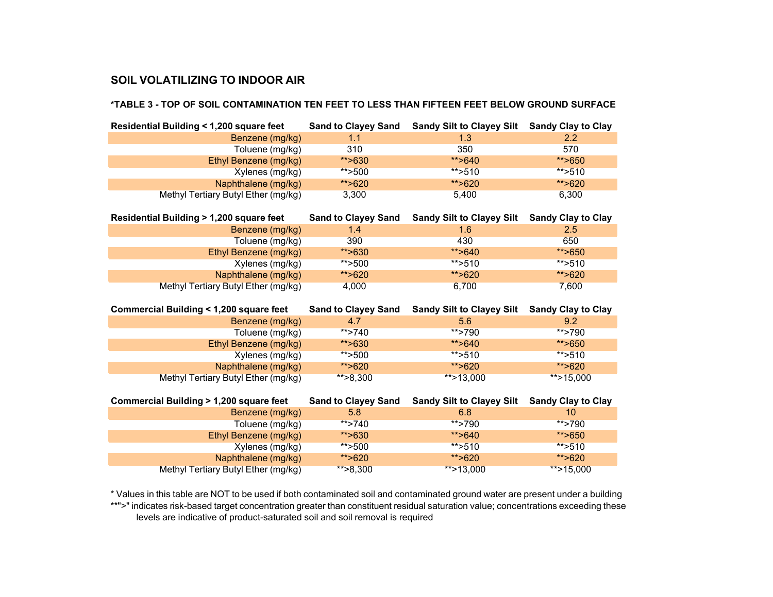#### **\*TABLE 3 - TOP OF SOIL CONTAMINATION TEN FEET TO LESS THAN FIFTEEN FEET BELOW GROUND SURFACE**

| Residential Building < 1,200 square feet                   |                            | Sand to Clayey Sand Sandy Silt to Clayey Silt Sandy Clay to Clay |                           |
|------------------------------------------------------------|----------------------------|------------------------------------------------------------------|---------------------------|
| Benzene (mg/kg)                                            | 1.1                        | 1.3                                                              | 2.2                       |
| Toluene (mg/kg)                                            | 310                        | 350                                                              | 570                       |
| Ethyl Benzene (mg/kg)                                      | **>630                     | ** $>640$                                                        | **>650                    |
| Xylenes (mg/kg)                                            | ** $>500$                  | **>510                                                           | ** $>510$                 |
| Naphthalene (mg/kg)                                        | **>620                     | **>620                                                           | **>620                    |
| Methyl Tertiary Butyl Ether (mg/kg)                        | 3,300                      | 5,400                                                            | 6,300                     |
| Residential Building > 1,200 square feet                   | <b>Sand to Clayey Sand</b> | <b>Sandy Silt to Clayey Silt</b>                                 | <b>Sandy Clay to Clay</b> |
| Benzene (mg/kg)                                            | 1.4                        | 1.6                                                              | 2.5                       |
| Toluene (mg/kg)                                            | 390                        | 430                                                              | 650                       |
| Ethyl Benzene (mg/kg)                                      | **>630                     | ** $>640$                                                        | **>650                    |
| Xylenes (mg/kg)                                            | **>500                     | ** $>510$                                                        | ** $>510$                 |
| Naphthalene (mg/kg)                                        | **>620                     | **>620                                                           | **>620                    |
| Methyl Tertiary Butyl Ether (mg/kg)                        | 4,000                      | 6,700                                                            | 7,600                     |
|                                                            |                            |                                                                  |                           |
|                                                            |                            |                                                                  |                           |
| Commercial Building < 1,200 square feet                    | <b>Sand to Clayey Sand</b> | <b>Sandy Silt to Clayey Silt</b>                                 | <b>Sandy Clay to Clay</b> |
| Benzene (mg/kg)                                            | 4.7                        | 5.6                                                              | 9.2                       |
| Toluene (mg/kg)                                            | $**$ >740                  | **>790                                                           | **>790                    |
| Ethyl Benzene (mg/kg)                                      | **>630                     | ** $>640$                                                        | **>650                    |
| Xylenes (mg/kg)                                            | ** $>500$                  | ** $>510$                                                        | $*$ >510                  |
| Naphthalene (mg/kg)                                        | **>620                     | **>620                                                           | **>620                    |
| Methyl Tertiary Butyl Ether (mg/kg)                        | $*$ $>8,300$               | **>13,000                                                        | **>15,000                 |
|                                                            |                            |                                                                  |                           |
| Commercial Building > 1,200 square feet                    | <b>Sand to Clayey Sand</b> | <b>Sandy Silt to Clayey Silt</b>                                 | <b>Sandy Clay to Clay</b> |
| Benzene (mg/kg)                                            | 5.8                        | 6.8                                                              | 10                        |
| Toluene (mg/kg)                                            | ** $>740$                  | **>790                                                           | $**$ >790                 |
| Ethyl Benzene (mg/kg)                                      | **>630                     | **>640                                                           | **>650                    |
| Xylenes (mg/kg)                                            | **>500                     | ** $>510$                                                        | ** $>510$                 |
| Naphthalene (mg/kg)<br>Methyl Tertiary Butyl Ether (mg/kg) | **>620<br>$*$ $>8,300$     | **>620<br>**>13,000                                              | **>620<br>**>15,000       |